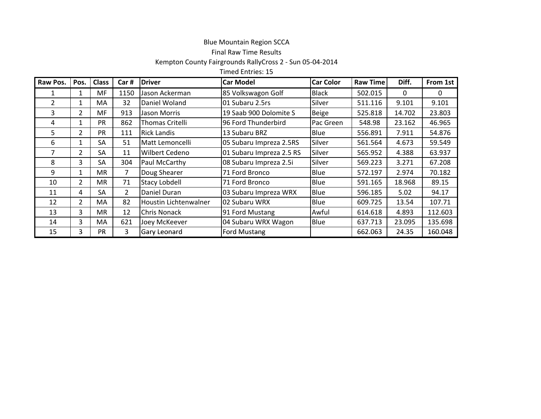## Blue Mountain Region SCCA

## Final Raw Time Results

## Kempton County Fairgrounds RallyCross 2 - Sun 05-04-2014

Timed Entries: 15

| Raw Pos.       | Pos.           | <b>Class</b> | Car#           | <b>Driver</b>          | <b>Car Model</b>         | <b>Car Color</b> | <b>Raw Time</b> | Diff.  | From 1st |
|----------------|----------------|--------------|----------------|------------------------|--------------------------|------------------|-----------------|--------|----------|
|                | 1              | MF.          | 1150           | Jason Ackerman         | 85 Volkswagon Golf       | <b>Black</b>     | 502.015         | 0      | 0        |
| $\overline{2}$ | $\mathbf{1}$   | МA           | 32             | Daniel Woland          | 01 Subaru 2.5rs          | Silver           | 511.116         | 9.101  | 9.101    |
| 3              | 2              | MF           | 913            | Jason Morris           | 19 Saab 900 Dolomite S   | <b>Beige</b>     | 525.818         | 14.702 | 23.803   |
| 4              | 1              | <b>PR</b>    | 862            | <b>Thomas Critelli</b> | 96 Ford Thunderbird      | Pac Green        | 548.98          | 23.162 | 46.965   |
| 5              | 2              | <b>PR</b>    | 111            | <b>Rick Landis</b>     | 13 Subaru BRZ            | Blue             | 556.891         | 7.911  | 54.876   |
| 6              | 1              | <b>SA</b>    | 51             | Matt Lemoncelli        | 05 Subaru Impreza 2.5RS  | Silver           | 561.564         | 4.673  | 59.549   |
| 7              | 2              | SA           | 11             | Wilbert Cedeno         | 01 Subaru Impreza 2.5 RS | Silver           | 565.952         | 4.388  | 63.937   |
| 8              | 3              | SA           | 304            | Paul McCarthy          | 08 Subaru Impreza 2.5i   | Silver           | 569.223         | 3.271  | 67.208   |
| 9              | $\mathbf{1}$   | <b>MR</b>    | 7              | Doug Shearer           | 71 Ford Bronco           | Blue             | 572.197         | 2.974  | 70.182   |
| 10             | $\overline{2}$ | <b>MR</b>    | 71             | <b>Stacy Lobdell</b>   | 71 Ford Bronco           | Blue             | 591.165         | 18.968 | 89.15    |
| 11             | 4              | SА           | $\overline{2}$ | Daniel Duran           | 03 Subaru Impreza WRX    | Blue             | 596.185         | 5.02   | 94.17    |
| 12             | $\overline{2}$ | МA           | 82             | Houstin Lichtenwalner  | 02 Subaru WRX            | Blue             | 609.725         | 13.54  | 107.71   |
| 13             | 3              | <b>MR</b>    | 12             | Chris Nonack           | 91 Ford Mustang          | Awful            | 614.618         | 4.893  | 112.603  |
| 14             | 3              | MA           | 621            | Joey McKeever          | 04 Subaru WRX Wagon      | Blue             | 637.713         | 23.095 | 135.698  |
| 15             | 3              | PR           | 3              | <b>Gary Leonard</b>    | Ford Mustang             |                  | 662.063         | 24.35  | 160.048  |